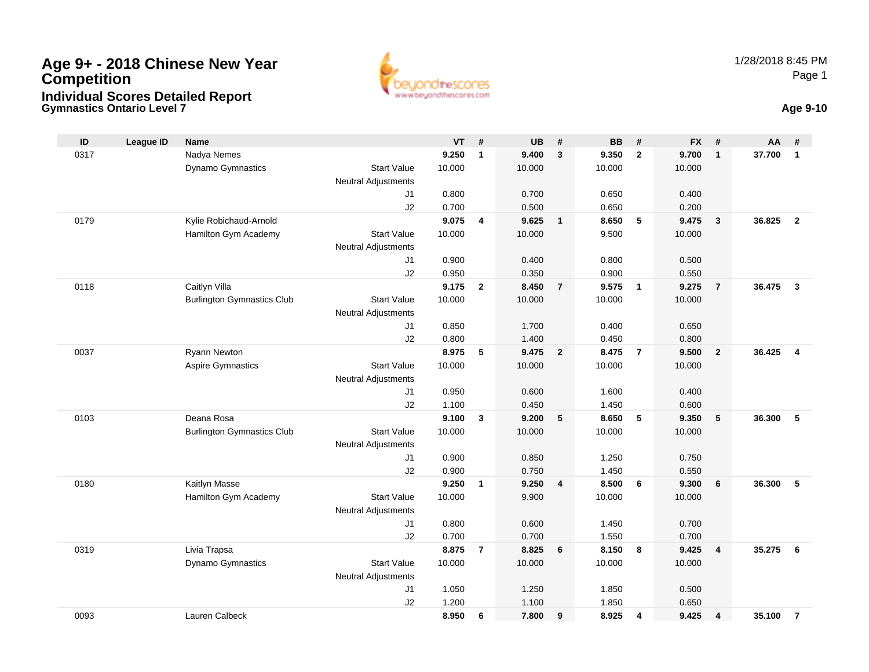

**Gymnastics Ontario Level 7 Age 9-10**

| ID   | <b>League ID</b> | <b>Name</b>                       |                            | VT             | #              | <b>UB</b>      | #              | <b>BB</b>      | #                       | <b>FX</b>      | -#                      | AA     | #              |
|------|------------------|-----------------------------------|----------------------------|----------------|----------------|----------------|----------------|----------------|-------------------------|----------------|-------------------------|--------|----------------|
| 0317 |                  | Nadya Nemes                       |                            | 9.250          | $\mathbf{1}$   | 9.400          | $\mathbf{3}$   | 9.350          | $\overline{2}$          | 9.700          | $\overline{\mathbf{1}}$ | 37.700 | $\overline{1}$ |
|      |                  | Dynamo Gymnastics                 | <b>Start Value</b>         | 10.000         |                | 10.000         |                | 10.000         |                         | 10.000         |                         |        |                |
|      |                  |                                   | <b>Neutral Adjustments</b> |                |                |                |                |                |                         |                |                         |        |                |
|      |                  |                                   | J1                         | 0.800          |                | 0.700          |                | 0.650          |                         | 0.400          |                         |        |                |
|      |                  |                                   | J2                         | 0.700          |                | 0.500          |                | 0.650          |                         | 0.200          |                         |        |                |
| 0179 |                  | Kylie Robichaud-Arnold            |                            | 9.075          | $\overline{4}$ | 9.625          | $\mathbf{1}$   | 8.650          | 5                       | 9.475          | $\overline{\mathbf{3}}$ | 36.825 | $\overline{2}$ |
|      |                  | Hamilton Gym Academy              | <b>Start Value</b>         | 10.000         |                | 10.000         |                | 9.500          |                         | 10.000         |                         |        |                |
|      |                  |                                   | <b>Neutral Adjustments</b> |                |                |                |                |                |                         |                |                         |        |                |
|      |                  |                                   | J1                         | 0.900          |                | 0.400          |                | 0.800          |                         | 0.500          |                         |        |                |
|      |                  |                                   | J2                         | 0.950          |                | 0.350          |                | 0.900          |                         | 0.550          |                         |        |                |
| 0118 |                  | Caitlyn Villa                     |                            | 9.175          | $\overline{2}$ | 8.450          | $\overline{7}$ | 9.575          | $\overline{\mathbf{1}}$ | 9.275          | $\overline{7}$          | 36.475 | $\mathbf{3}$   |
|      |                  | <b>Burlington Gymnastics Club</b> | <b>Start Value</b>         | 10.000         |                | 10.000         |                | 10.000         |                         | 10.000         |                         |        |                |
|      |                  |                                   | <b>Neutral Adjustments</b> |                |                |                |                |                |                         |                |                         |        |                |
|      |                  |                                   | J1                         | 0.850          |                | 1.700          |                | 0.400          |                         | 0.650          |                         |        |                |
|      |                  |                                   | J2                         | 0.800          |                | 1.400          |                | 0.450          |                         | 0.800          |                         |        |                |
| 0037 |                  | Ryann Newton                      |                            | 8.975          | 5              | 9.475          | $\overline{2}$ | 8.475          | $\overline{7}$          | 9.500          | $\overline{2}$          | 36.425 | $\overline{4}$ |
|      |                  | <b>Aspire Gymnastics</b>          | <b>Start Value</b>         | 10.000         |                | 10.000         |                | 10.000         |                         | 10.000         |                         |        |                |
|      |                  |                                   | <b>Neutral Adjustments</b> |                |                |                |                |                |                         |                |                         |        |                |
|      |                  |                                   | J1                         | 0.950          |                | 0.600          |                | 1.600          |                         | 0.400          |                         |        |                |
|      |                  |                                   | J2                         | 1.100          |                | 0.450          |                | 1.450          |                         | 0.600          |                         |        |                |
| 0103 |                  | Deana Rosa                        |                            | 9.100          | 3              | 9.200          | 5              | 8.650          | 5                       | 9.350          | 5                       | 36,300 | -5             |
|      |                  | <b>Burlington Gymnastics Club</b> | <b>Start Value</b>         | 10.000         |                | 10.000         |                | 10.000         |                         | 10.000         |                         |        |                |
|      |                  |                                   | <b>Neutral Adjustments</b> |                |                |                |                |                |                         |                |                         |        |                |
|      |                  |                                   | J1                         | 0.900          |                | 0.850          |                | 1.250          |                         | 0.750          |                         |        |                |
| 0180 |                  | Kaitlyn Masse                     | J2                         | 0.900<br>9.250 | $\mathbf{1}$   | 0.750<br>9.250 | $\overline{4}$ | 1.450<br>8.500 | 6                       | 0.550<br>9.300 | $6\phantom{1}6$         | 36.300 | -5             |
|      |                  | Hamilton Gym Academy              | <b>Start Value</b>         | 10.000         |                | 9.900          |                | 10.000         |                         | 10.000         |                         |        |                |
|      |                  |                                   | <b>Neutral Adjustments</b> |                |                |                |                |                |                         |                |                         |        |                |
|      |                  |                                   | J1                         | 0.800          |                | 0.600          |                | 1.450          |                         | 0.700          |                         |        |                |
|      |                  |                                   | J2                         | 0.700          |                | 0.700          |                | 1.550          |                         | 0.700          |                         |        |                |
| 0319 |                  | Livia Trapsa                      |                            | 8.875          | $\overline{7}$ | 8.825          | 6              | 8.150          | 8                       | 9.425          | $\overline{4}$          | 35.275 | 6              |
|      |                  | <b>Dynamo Gymnastics</b>          | <b>Start Value</b>         | 10.000         |                | 10.000         |                | 10.000         |                         | 10.000         |                         |        |                |
|      |                  |                                   | <b>Neutral Adjustments</b> |                |                |                |                |                |                         |                |                         |        |                |
|      |                  |                                   | J1                         | 1.050          |                | 1.250          |                | 1.850          |                         | 0.500          |                         |        |                |
|      |                  |                                   | J2                         | 1.200          |                | 1.100          |                | 1.850          |                         | 0.650          |                         |        |                |
| 0093 |                  | Lauren Calbeck                    |                            | 8.950          | 6              | 7.800          | 9              | 8.925          | 4                       | 9.425          | $\overline{4}$          | 35.100 | $\overline{7}$ |
|      |                  |                                   |                            |                |                |                |                |                |                         |                |                         |        |                |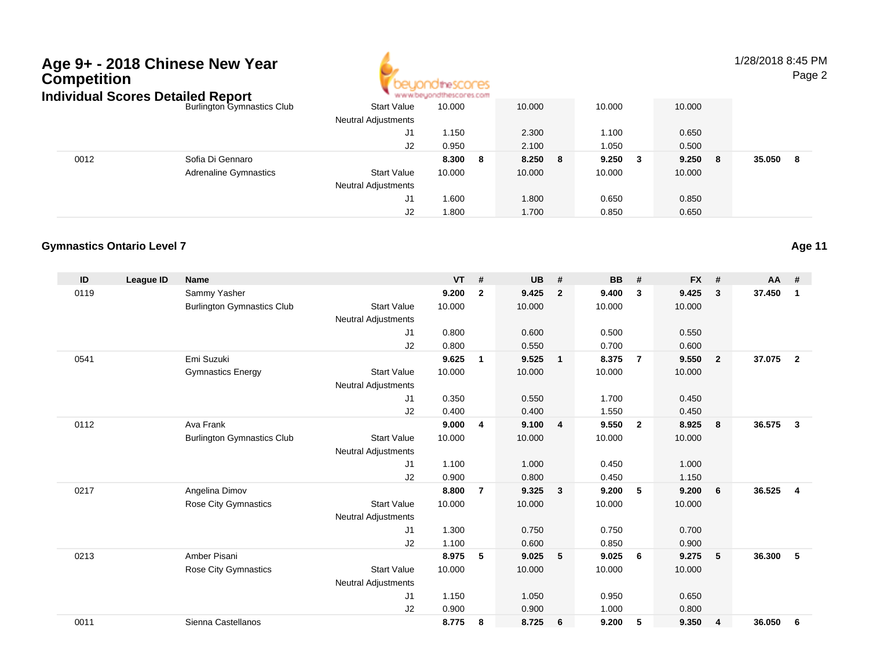

1/28/2018 8:45 PM

Page 2

|      | ndividual Scores Detailed Report  |                            | www.beyondthescores.com |         |             |              |              |
|------|-----------------------------------|----------------------------|-------------------------|---------|-------------|--------------|--------------|
|      | <b>Burlington Gymnastics Club</b> | <b>Start Value</b>         | 10.000                  | 10.000  | 10.000      | 10.000       |              |
|      |                                   | <b>Neutral Adjustments</b> |                         |         |             |              |              |
|      |                                   | J1                         | 1.150                   | 2.300   | 1.100       | 0.650        |              |
|      |                                   | J2                         | 0.950                   | 2.100   | 1.050       | 0.500        |              |
| 0012 | Sofia Di Gennaro                  |                            | 8.300<br>-8             | 8.250 8 | 9.250<br>-3 | 9.250<br>- 8 | 35.050<br>-8 |
|      | <b>Adrenaline Gymnastics</b>      | <b>Start Value</b>         | 10.000                  | 10.000  | 10.000      | 10.000       |              |
|      |                                   | <b>Neutral Adjustments</b> |                         |         |             |              |              |
|      |                                   | J1                         | 1.600                   | 1.800   | 0.650       | 0.850        |              |
|      |                                   | J2                         | 1.800                   | 1.700   | 0.850       | 0.650        |              |

#### **Gymnastics Ontario Level 7**

| ID   | <b>League ID</b> | <b>Name</b>                       |                            | <b>VT</b> | #              | <b>UB</b> | #                       | <b>BB</b> | #              | <b>FX</b> | #              | <b>AA</b> | #              |
|------|------------------|-----------------------------------|----------------------------|-----------|----------------|-----------|-------------------------|-----------|----------------|-----------|----------------|-----------|----------------|
| 0119 |                  | Sammy Yasher                      |                            | 9.200     | $\overline{2}$ | 9.425     | $\overline{2}$          | 9.400     | 3              | 9.425     | 3              | 37.450    | $\mathbf 1$    |
|      |                  | <b>Burlington Gymnastics Club</b> | <b>Start Value</b>         | 10.000    |                | 10.000    |                         | 10.000    |                | 10.000    |                |           |                |
|      |                  |                                   | <b>Neutral Adjustments</b> |           |                |           |                         |           |                |           |                |           |                |
|      |                  |                                   | J1                         | 0.800     |                | 0.600     |                         | 0.500     |                | 0.550     |                |           |                |
|      |                  |                                   | J2                         | 0.800     |                | 0.550     |                         | 0.700     |                | 0.600     |                |           |                |
| 0541 |                  | Emi Suzuki                        |                            | 9.625     | $\mathbf{1}$   | 9.525     | $\overline{1}$          | 8.375     | $\overline{7}$ | 9.550     | $\overline{2}$ | 37.075    | $\overline{2}$ |
|      |                  | <b>Gymnastics Energy</b>          | <b>Start Value</b>         | 10.000    |                | 10.000    |                         | 10.000    |                | 10.000    |                |           |                |
|      |                  |                                   | <b>Neutral Adjustments</b> |           |                |           |                         |           |                |           |                |           |                |
|      |                  |                                   | J1                         | 0.350     |                | 0.550     |                         | 1.700     |                | 0.450     |                |           |                |
|      |                  |                                   | J2                         | 0.400     |                | 0.400     |                         | 1.550     |                | 0.450     |                |           |                |
| 0112 |                  | Ava Frank                         |                            | 9.000     | 4              | 9.100     | $\overline{4}$          | 9.550     | $\overline{2}$ | 8.925     | 8              | 36.575    | $\mathbf{3}$   |
|      |                  | <b>Burlington Gymnastics Club</b> | <b>Start Value</b>         | 10.000    |                | 10.000    |                         | 10.000    |                | 10.000    |                |           |                |
|      |                  |                                   | <b>Neutral Adjustments</b> |           |                |           |                         |           |                |           |                |           |                |
|      |                  |                                   | J1                         | 1.100     |                | 1.000     |                         | 0.450     |                | 1.000     |                |           |                |
|      |                  |                                   | J2                         | 0.900     |                | 0.800     |                         | 0.450     |                | 1.150     |                |           |                |
| 0217 |                  | Angelina Dimov                    |                            | 8.800     | $\overline{7}$ | 9.325     | $\overline{\mathbf{3}}$ | 9.200     | 5              | 9.200     | 6              | 36.525    | $\overline{4}$ |
|      |                  | Rose City Gymnastics              | <b>Start Value</b>         | 10.000    |                | 10.000    |                         | 10.000    |                | 10.000    |                |           |                |
|      |                  |                                   | <b>Neutral Adjustments</b> |           |                |           |                         |           |                |           |                |           |                |
|      |                  |                                   | J1                         | 1.300     |                | 0.750     |                         | 0.750     |                | 0.700     |                |           |                |
|      |                  |                                   | J2                         | 1.100     |                | 0.600     |                         | 0.850     |                | 0.900     |                |           |                |
| 0213 |                  | Amber Pisani                      |                            | 8.975     | 5              | 9.025     | 5                       | 9.025     | 6              | 9.275     | 5              | 36.300    | 5              |
|      |                  | Rose City Gymnastics              | <b>Start Value</b>         | 10.000    |                | 10.000    |                         | 10.000    |                | 10.000    |                |           |                |
|      |                  |                                   | <b>Neutral Adjustments</b> |           |                |           |                         |           |                |           |                |           |                |
|      |                  |                                   | J1                         | 1.150     |                | 1.050     |                         | 0.950     |                | 0.650     |                |           |                |
|      |                  |                                   | J2                         | 0.900     |                | 0.900     |                         | 1.000     |                | 0.800     |                |           |                |
| 0011 |                  | Sienna Castellanos                |                            | 8.775     | 8              | 8.725     | 6                       | 9.200     | 5              | 9.350     | 4              | 36.050    | 6              |

**Age 11**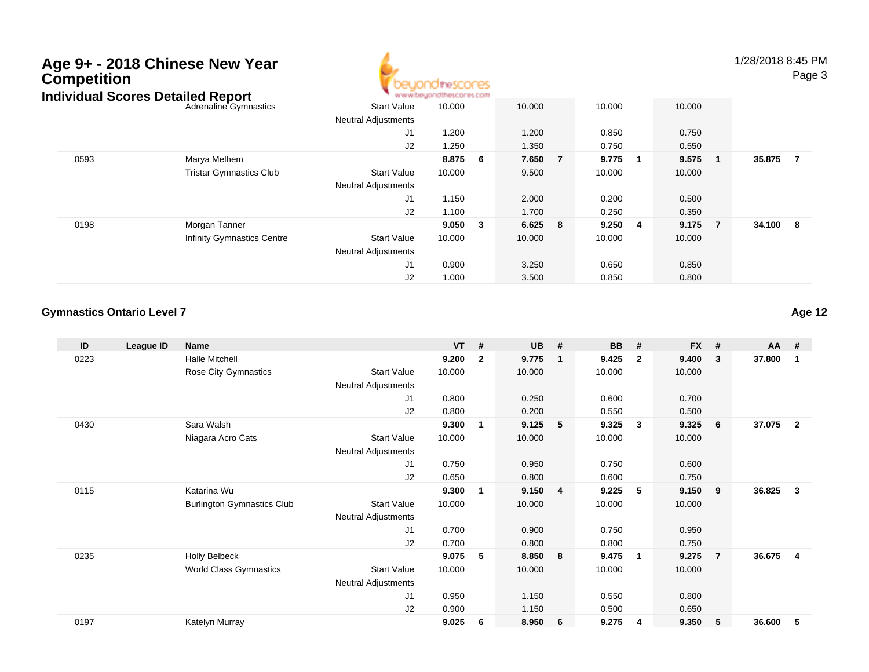## **Age 9+ - 2018 Chinese New YearCompetition**



1/28/2018 8:45 PMPage 3

#### Adrenaline Gymnastics Start Valuee 10.000 10.000 10.000 10.000 Neutral Adjustments J1 1.200 1.200 0.850 0.750 J2 1.250 1.350 0.750 0.550 0593 Marya Melhem **8.875 <sup>6</sup> 7.650 <sup>7</sup> 9.775 <sup>1</sup> 9.575 <sup>1</sup> 35.875 <sup>7</sup>** Tristar Gymnastics Clubb 3tart Value 10.000 9.500 10.000 10.000 Neutral Adjustments J1 1.150 2.000 0.200 0.500 J2 1.100 1.700 0.250 0.350 0198 Morgan Tanner **9.050 <sup>3</sup> 6.625 <sup>8</sup> 9.250 <sup>4</sup> 9.175 <sup>7</sup> 34.100 <sup>8</sup>** Infinity Gymnastics Centre Start Value 10.000 10.000 10.000 10.000 Neutral Adjustments J1 0.900 3.250 0.650 0.850 J2 1.000 3.500 0.850 0.800 **Individual Scores Detailed Report**

#### **Gymnastics Ontario Level 7**

| ID   | League ID | <b>Name</b>                       |                            | <b>VT</b> | #            | <b>UB</b> | #              | <b>BB</b> | #                       | <b>FX</b> | #              | AA     | #              |
|------|-----------|-----------------------------------|----------------------------|-----------|--------------|-----------|----------------|-----------|-------------------------|-----------|----------------|--------|----------------|
| 0223 |           | <b>Halle Mitchell</b>             |                            | 9.200     | $\mathbf{2}$ | 9.775     | - 1            | 9.425     | $\overline{2}$          | 9.400     | -3             | 37.800 | $\mathbf{1}$   |
|      |           | <b>Rose City Gymnastics</b>       | <b>Start Value</b>         | 10.000    |              | 10.000    |                | 10.000    |                         | 10.000    |                |        |                |
|      |           |                                   | <b>Neutral Adjustments</b> |           |              |           |                |           |                         |           |                |        |                |
|      |           |                                   | J1                         | 0.800     |              | 0.250     |                | 0.600     |                         | 0.700     |                |        |                |
|      |           |                                   | J2                         | 0.800     |              | 0.200     |                | 0.550     |                         | 0.500     |                |        |                |
| 0430 |           | Sara Walsh                        |                            | 9.300     | 1            | 9.125     | 5              | 9.325     | $\mathbf{3}$            | 9.325     | 6              | 37.075 | $\overline{2}$ |
|      |           | Niagara Acro Cats                 | <b>Start Value</b>         | 10.000    |              | 10.000    |                | 10.000    |                         | 10.000    |                |        |                |
|      |           |                                   | <b>Neutral Adjustments</b> |           |              |           |                |           |                         |           |                |        |                |
|      |           |                                   | J1                         | 0.750     |              | 0.950     |                | 0.750     |                         | 0.600     |                |        |                |
|      |           |                                   | J2                         | 0.650     |              | 0.800     |                | 0.600     |                         | 0.750     |                |        |                |
| 0115 |           | Katarina Wu                       |                            | 9.300     | 1            | 9.150     | $\overline{4}$ | 9.225     | 5                       | 9.150     | 9              | 36.825 | $\mathbf{3}$   |
|      |           | <b>Burlington Gymnastics Club</b> | <b>Start Value</b>         | 10.000    |              | 10.000    |                | 10.000    |                         | 10.000    |                |        |                |
|      |           |                                   | <b>Neutral Adjustments</b> |           |              |           |                |           |                         |           |                |        |                |
|      |           |                                   | J1                         | 0.700     |              | 0.900     |                | 0.750     |                         | 0.950     |                |        |                |
|      |           |                                   | J2                         | 0.700     |              | 0.800     |                | 0.800     |                         | 0.750     |                |        |                |
| 0235 |           | <b>Holly Belbeck</b>              |                            | 9.075     | 5            | 8.850     | 8              | 9.475     | $\overline{\mathbf{1}}$ | 9.275     | $\overline{7}$ | 36.675 | -4             |
|      |           | World Class Gymnastics            | <b>Start Value</b>         | 10.000    |              | 10.000    |                | 10.000    |                         | 10.000    |                |        |                |
|      |           |                                   | Neutral Adjustments        |           |              |           |                |           |                         |           |                |        |                |
|      |           |                                   | J1                         | 0.950     |              | 1.150     |                | 0.550     |                         | 0.800     |                |        |                |
|      |           |                                   | J2                         | 0.900     |              | 1.150     |                | 0.500     |                         | 0.650     |                |        |                |
| 0197 |           | Katelyn Murray                    |                            | 9.025     | 6            | 8.950     | 6              | 9.275     | $\overline{4}$          | 9.350     | 5              | 36.600 | 5              |

**Age 12**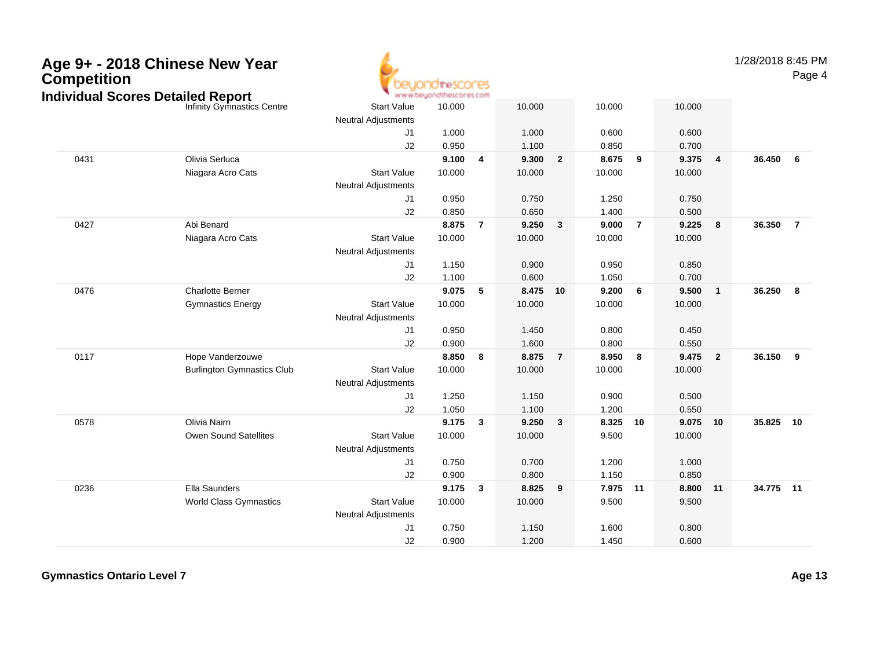| Age 9+ - 2018 Chinese New Year           |  |
|------------------------------------------|--|
| <b>Competition</b>                       |  |
| <b>Individual Scores Detailed Report</b> |  |



1/28/2018 8:45 PM

Page 4

|                                  |                                   |                            | mararahan ing mang-manag |                |        |                |          |                |          |                         |           |                |
|----------------------------------|-----------------------------------|----------------------------|--------------------------|----------------|--------|----------------|----------|----------------|----------|-------------------------|-----------|----------------|
| ndividual Scores Detailed Report | Infinity Gymnastics Centre        | <b>Start Value</b>         | 10.000                   |                | 10.000 |                | 10.000   |                | 10.000   |                         |           |                |
|                                  |                                   | <b>Neutral Adjustments</b> |                          |                |        |                |          |                |          |                         |           |                |
|                                  |                                   | J <sub>1</sub>             | 1.000                    |                | 1.000  |                | 0.600    |                | 0.600    |                         |           |                |
|                                  |                                   | J2                         | 0.950                    |                | 1.100  |                | 0.850    |                | 0.700    |                         |           |                |
| 0431                             | Olivia Serluca                    |                            | 9.100                    | $\overline{4}$ | 9.300  | $\overline{2}$ | 8.675    | 9              | 9.375    | $\overline{\mathbf{4}}$ | 36.450    | 6              |
|                                  | Niagara Acro Cats                 | <b>Start Value</b>         | 10.000                   |                | 10.000 |                | 10.000   |                | 10.000   |                         |           |                |
|                                  |                                   | <b>Neutral Adjustments</b> |                          |                |        |                |          |                |          |                         |           |                |
|                                  |                                   | J1                         | 0.950                    |                | 0.750  |                | 1.250    |                | 0.750    |                         |           |                |
|                                  |                                   | J2                         | 0.850                    |                | 0.650  |                | 1.400    |                | 0.500    |                         |           |                |
| 0427                             | Abi Benard                        |                            | 8.875                    | $\overline{7}$ | 9.250  | 3              | 9.000    | $\overline{7}$ | 9.225    | 8                       | 36.350    | $\overline{7}$ |
|                                  | Niagara Acro Cats                 | <b>Start Value</b>         | 10.000                   |                | 10.000 |                | 10.000   |                | 10.000   |                         |           |                |
|                                  |                                   | <b>Neutral Adjustments</b> |                          |                |        |                |          |                |          |                         |           |                |
|                                  |                                   | J <sub>1</sub>             | 1.150                    |                | 0.900  |                | 0.950    |                | 0.850    |                         |           |                |
|                                  |                                   | J2                         | 1.100                    |                | 0.600  |                | 1.050    |                | 0.700    |                         |           |                |
| 0476                             | <b>Charlotte Berner</b>           |                            | 9.075                    | 5              | 8.475  | 10             | 9.200    | 6              | 9.500    | $\overline{1}$          | 36.250    | 8              |
|                                  | <b>Gymnastics Energy</b>          | <b>Start Value</b>         | 10.000                   |                | 10.000 |                | 10.000   |                | 10.000   |                         |           |                |
|                                  |                                   | Neutral Adjustments        |                          |                |        |                |          |                |          |                         |           |                |
|                                  |                                   | J1                         | 0.950                    |                | 1.450  |                | 0.800    |                | 0.450    |                         |           |                |
|                                  |                                   | J2                         | 0.900                    |                | 1.600  |                | 0.800    |                | 0.550    |                         |           |                |
| 0117                             | Hope Vanderzouwe                  |                            | 8.850                    | 8              | 8.875  | $\overline{7}$ | 8.950    | 8              | 9.475    | $\overline{\mathbf{2}}$ | 36.150    | 9              |
|                                  | <b>Burlington Gymnastics Club</b> | <b>Start Value</b>         | 10.000                   |                | 10.000 |                | 10.000   |                | 10.000   |                         |           |                |
|                                  |                                   | Neutral Adjustments        |                          |                |        |                |          |                |          |                         |           |                |
|                                  |                                   | J1                         | 1.250                    |                | 1.150  |                | 0.900    |                | 0.500    |                         |           |                |
|                                  |                                   | J2                         | 1.050                    |                | 1.100  |                | 1.200    |                | 0.550    |                         |           |                |
| 0578                             | Olivia Nairn                      |                            | 9.175                    | 3              | 9.250  | 3              | 8.325    | 10             | 9.075 10 |                         | 35.825    | 10             |
|                                  | Owen Sound Satellites             | <b>Start Value</b>         | 10.000                   |                | 10.000 |                | 9.500    |                | 10.000   |                         |           |                |
|                                  |                                   | <b>Neutral Adjustments</b> |                          |                |        |                |          |                |          |                         |           |                |
|                                  |                                   | J1                         | 0.750                    |                | 0.700  |                | 1.200    |                | 1.000    |                         |           |                |
|                                  |                                   | J2                         | 0.900                    |                | 0.800  |                | 1.150    |                | 0.850    |                         |           |                |
| 0236                             | Ella Saunders                     |                            | 9.175                    | 3              | 8.825  | 9              | 7.975 11 |                | 8.800 11 |                         | 34.775 11 |                |
|                                  | World Class Gymnastics            | <b>Start Value</b>         | 10.000                   |                | 10.000 |                | 9.500    |                | 9.500    |                         |           |                |
|                                  |                                   | <b>Neutral Adjustments</b> |                          |                |        |                |          |                |          |                         |           |                |
|                                  |                                   | J <sub>1</sub>             | 0.750                    |                | 1.150  |                | 1.600    |                | 0.800    |                         |           |                |
|                                  |                                   | J2                         | 0.900                    |                | 1.200  |                | 1.450    |                | 0.600    |                         |           |                |
|                                  |                                   |                            |                          |                |        |                |          |                |          |                         |           |                |

**Gymnastics Ontario Level 7**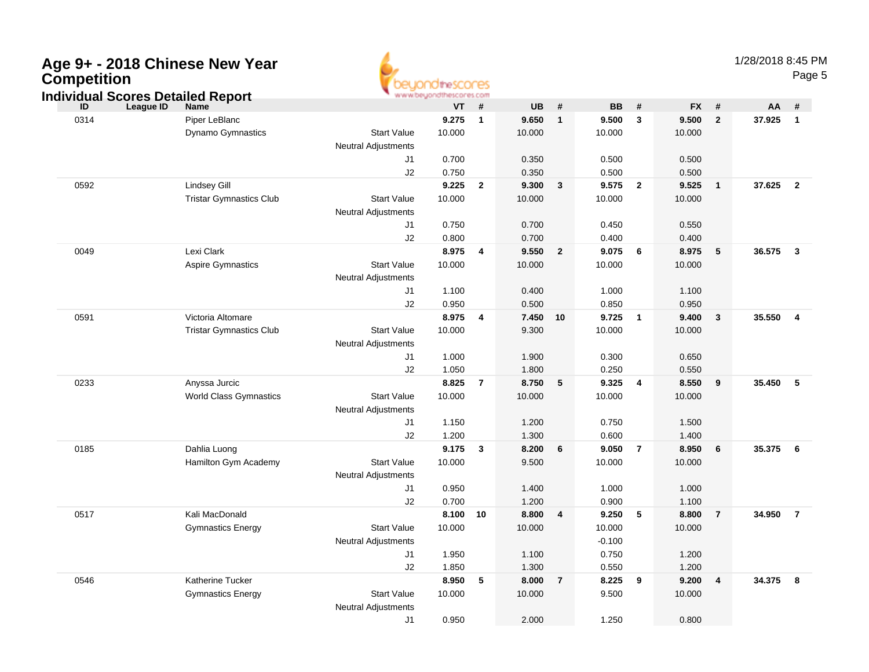| Age 9+ - 2018 Chinese New Year<br><b>Competition</b><br><b>Individual Scores Detailed Report</b> |                                |                                                  | www.beyondthescores.com |                         |           |                |           |                |           |                | 1/28/2018 8:45 PM | Page 5                  |
|--------------------------------------------------------------------------------------------------|--------------------------------|--------------------------------------------------|-------------------------|-------------------------|-----------|----------------|-----------|----------------|-----------|----------------|-------------------|-------------------------|
| League ID<br>ID                                                                                  | <b>Name</b>                    |                                                  | VT                      | #                       | <b>UB</b> | #              | <b>BB</b> | $\pmb{\#}$     | <b>FX</b> | $\pmb{\#}$     | AA                | #                       |
| 0314                                                                                             | Piper LeBlanc                  |                                                  | 9.275                   | $\overline{\mathbf{1}}$ | 9.650     | $\mathbf{1}$   | 9.500     | $\mathbf{3}$   | 9.500     | $\overline{2}$ | 37.925            | $\overline{\mathbf{1}}$ |
|                                                                                                  | <b>Dynamo Gymnastics</b>       | <b>Start Value</b><br><b>Neutral Adjustments</b> | 10.000                  |                         | 10.000    |                | 10.000    |                | 10.000    |                |                   |                         |
|                                                                                                  |                                | J1                                               | 0.700                   |                         | 0.350     |                | 0.500     |                | 0.500     |                |                   |                         |
|                                                                                                  |                                | J2                                               | 0.750                   |                         | 0.350     |                | 0.500     |                | 0.500     |                |                   |                         |
| 0592                                                                                             | <b>Lindsey Gill</b>            |                                                  | 9.225                   | $\overline{2}$          | 9.300     | $\mathbf{3}$   | 9.575     | $\overline{2}$ | 9.525     | $\mathbf{1}$   | 37.625            | $\overline{2}$          |
|                                                                                                  | <b>Tristar Gymnastics Club</b> | <b>Start Value</b><br><b>Neutral Adjustments</b> | 10.000                  |                         | 10.000    |                | 10.000    |                | 10.000    |                |                   |                         |
|                                                                                                  |                                | J1                                               | 0.750                   |                         | 0.700     |                | 0.450     |                | 0.550     |                |                   |                         |
|                                                                                                  |                                | J2                                               | 0.800                   |                         | 0.700     |                | 0.400     |                | 0.400     |                |                   |                         |
| 0049                                                                                             | Lexi Clark                     |                                                  | 8.975                   | $\overline{4}$          | 9.550     | $\overline{2}$ | 9.075     | 6              | 8.975     | 5              | 36.575            | $\overline{\mathbf{3}}$ |
|                                                                                                  | <b>Aspire Gymnastics</b>       | <b>Start Value</b><br><b>Neutral Adjustments</b> | 10.000                  |                         | 10.000    |                | 10.000    |                | 10.000    |                |                   |                         |
|                                                                                                  |                                | J1                                               | 1.100                   |                         | 0.400     |                | 1.000     |                | 1.100     |                |                   |                         |
|                                                                                                  |                                | J2                                               | 0.950                   |                         | 0.500     |                | 0.850     |                | 0.950     |                |                   |                         |
| 0591                                                                                             | Victoria Altomare              |                                                  | 8.975                   | $\overline{4}$          | 7.450     | 10             | 9.725     | $\overline{1}$ | 9.400     | $\mathbf{3}$   | 35.550            | $\overline{\mathbf{4}}$ |
|                                                                                                  | <b>Tristar Gymnastics Club</b> | <b>Start Value</b>                               | 10.000                  |                         | 9.300     |                | 10.000    |                | 10.000    |                |                   |                         |
|                                                                                                  |                                | <b>Neutral Adjustments</b>                       |                         |                         |           |                |           |                |           |                |                   |                         |
|                                                                                                  |                                | J1                                               | 1.000                   |                         | 1.900     |                | 0.300     |                | 0.650     |                |                   |                         |
|                                                                                                  |                                | J2                                               | 1.050                   |                         | 1.800     |                | 0.250     |                | 0.550     |                |                   |                         |
| 0233                                                                                             | Anyssa Jurcic                  |                                                  | 8.825                   | $\overline{7}$          | 8.750     | 5              | 9.325     | $\overline{4}$ | 8.550     | 9              | 35.450            | $-5$                    |
|                                                                                                  | <b>World Class Gymnastics</b>  | <b>Start Value</b><br><b>Neutral Adjustments</b> | 10.000                  |                         | 10.000    |                | 10.000    |                | 10.000    |                |                   |                         |
|                                                                                                  |                                | J1                                               | 1.150                   |                         | 1.200     |                | 0.750     |                | 1.500     |                |                   |                         |
|                                                                                                  |                                | J2                                               | 1.200                   |                         | 1.300     |                | 0.600     |                | 1.400     |                |                   |                         |
| 0185                                                                                             | Dahlia Luong                   |                                                  | 9.175                   | $\mathbf{3}$            | 8.200     | 6              | 9.050     | $\overline{7}$ | 8.950     | 6              | 35.375            | - 6                     |
|                                                                                                  | Hamilton Gym Academy           | <b>Start Value</b><br><b>Neutral Adjustments</b> | 10.000                  |                         | 9.500     |                | 10.000    |                | 10.000    |                |                   |                         |
|                                                                                                  |                                | J1                                               | 0.950                   |                         | 1.400     |                | 1.000     |                | 1.000     |                |                   |                         |
|                                                                                                  |                                | J2                                               | 0.700                   |                         | 1.200     |                | 0.900     |                | 1.100     |                |                   |                         |
| 0517                                                                                             | Kali MacDonald                 |                                                  | 8.100                   | 10                      | 8.800     | 4              | 9.250     | 5              | 8.800     | $\overline{7}$ | 34.950            | $\overline{7}$          |
|                                                                                                  | <b>Gymnastics Energy</b>       | <b>Start Value</b>                               | 10.000                  |                         | 10.000    |                | 10.000    |                | 10.000    |                |                   |                         |
|                                                                                                  |                                | <b>Neutral Adjustments</b>                       |                         |                         |           |                | $-0.100$  |                |           |                |                   |                         |
|                                                                                                  |                                | J1                                               | 1.950                   |                         | 1.100     |                | 0.750     |                | 1.200     |                |                   |                         |
|                                                                                                  |                                | J2                                               | 1.850                   |                         | 1.300     |                | 0.550     |                | 1.200     |                |                   |                         |
| 0546                                                                                             | <b>Katherine Tucker</b>        |                                                  | 8.950                   | 5                       | 8.000     | $\overline{7}$ | 8.225     | 9              | 9.200     | $\overline{4}$ | 34.375            | 8                       |
|                                                                                                  | <b>Gymnastics Energy</b>       | <b>Start Value</b><br><b>Neutral Adjustments</b> | 10.000                  |                         | 10.000    |                | 9.500     |                | 10.000    |                |                   |                         |

J1

0.950 2.000 1.250 0.800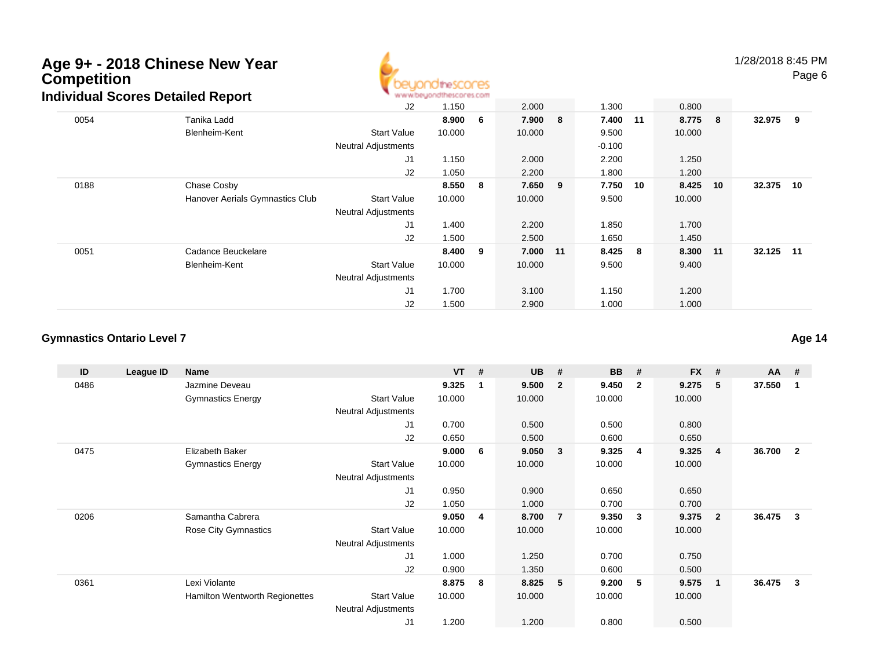

1/28/2018 8:45 PM

Page 6

|      |                                 | J2                         | 1.150  |    | 2.000  |     | 1.300    |    | 0.800    |           |  |
|------|---------------------------------|----------------------------|--------|----|--------|-----|----------|----|----------|-----------|--|
| 0054 | Tanika Ladd                     |                            | 8.900  | 6  | 7.900  | 8   | 7.400 11 |    | 8.775 8  | 32.975 9  |  |
|      | Blenheim-Kent                   | <b>Start Value</b>         | 10.000 |    | 10.000 |     | 9.500    |    | 10.000   |           |  |
|      |                                 | <b>Neutral Adjustments</b> |        |    |        |     | $-0.100$ |    |          |           |  |
|      |                                 | J1                         | 1.150  |    | 2.000  |     | 2.200    |    | 1.250    |           |  |
|      |                                 | J2                         | 1.050  |    | 2.200  |     | 1.800    |    | 1.200    |           |  |
| 0188 | Chase Cosby                     |                            | 8.550  | -8 | 7.650  | - 9 | 7.750    | 10 | 8.425 10 | 32.375 10 |  |
|      | Hanover Aerials Gymnastics Club | <b>Start Value</b>         | 10.000 |    | 10.000 |     | 9.500    |    | 10.000   |           |  |
|      |                                 | <b>Neutral Adjustments</b> |        |    |        |     |          |    |          |           |  |
|      |                                 | J1                         | 1.400  |    | 2.200  |     | 1.850    |    | 1.700    |           |  |
|      |                                 | J2                         | 1.500  |    | 2.500  |     | 1.650    |    | 1.450    |           |  |
| 0051 | Cadance Beuckelare              |                            | 8.400  | 9  | 7.000  | 11  | 8.425 8  |    | 8.300 11 | 32.125 11 |  |
|      | Blenheim-Kent                   | <b>Start Value</b>         | 10.000 |    | 10.000 |     | 9.500    |    | 9.400    |           |  |
|      |                                 | <b>Neutral Adjustments</b> |        |    |        |     |          |    |          |           |  |
|      |                                 | J <sub>1</sub>             | 1.700  |    | 3.100  |     | 1.150    |    | 1.200    |           |  |
|      |                                 | J2                         | 1.500  |    | 2.900  |     | 1.000    |    | 1.000    |           |  |

#### **Gymnastics Ontario Level 7**

**ID League ID Name VT # UB # BB # FX # AA #** 0486 Jazmine Deveau **9.325 <sup>1</sup> 9.500 <sup>2</sup> 9.450 <sup>2</sup> 9.275 <sup>5</sup> 37.550 <sup>1</sup>** Gymnastics Energy Start Valuee 10.000 10.000 10.000 10.000 Neutral Adjustments J1 0.700 0.500 0.500 0.800 J2 0.650 0.500 0.600 0.650 0475 Elizabeth Baker **9.000 <sup>6</sup> 9.050 <sup>3</sup> 9.325 <sup>4</sup> 9.325 <sup>4</sup> 36.700 <sup>2</sup>** Gymnastics Energy Start Valuee 10.000 10.000 10.000 10.000 Neutral Adjustments J1 0.950 0.900 0.650 0.650 J2 1.050 1.000 0.700 0.700 0206 Samantha Cabrera **9.050 <sup>4</sup> 8.700 <sup>7</sup> 9.350 <sup>3</sup> 9.375 <sup>2</sup> 36.475 <sup>3</sup>** Rose City Gymnastics Start Valuee 10.000 10.000 10.000 10.000 Neutral Adjustments J1 1.000 1.250 0.700 0.750 J2 0.900 1.350 0.600 0.500 0361 Lexi Violante **8.875 <sup>8</sup> 8.825 <sup>5</sup> 9.200 <sup>5</sup> 9.575 <sup>1</sup> 36.475 <sup>3</sup>** Hamilton Wentworth Regionettes Start Valuee 10.000 10.000 10.000 10.000 Neutral Adjustments J11.200 1.200 0.800 0.500

**Age 14**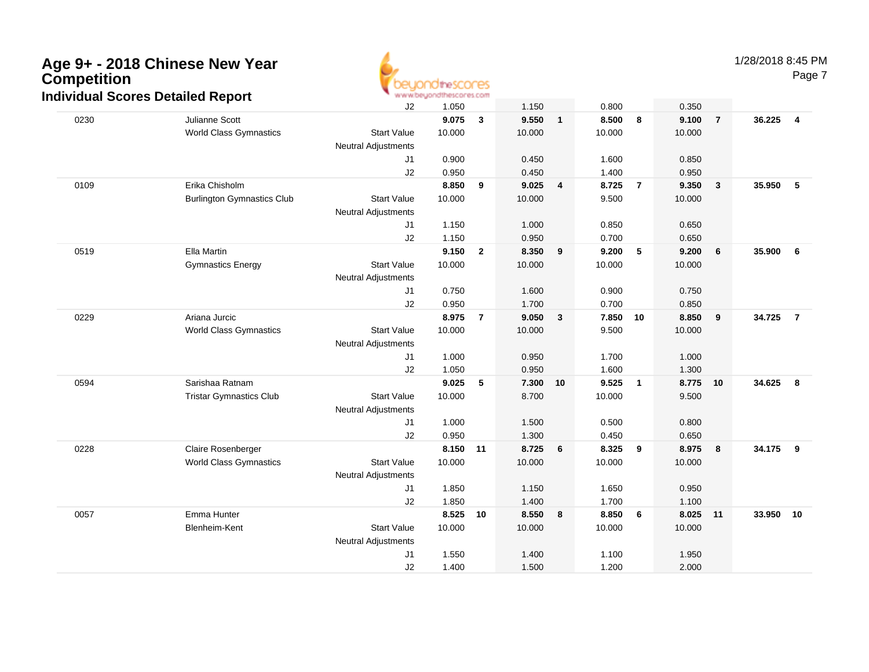

1/28/2018 8:45 PM

Page 7

|      |                                   | J2                         | 1.050  |                | 1.150  |                         | 0.800  |                | 0.350  |                         |           |                |
|------|-----------------------------------|----------------------------|--------|----------------|--------|-------------------------|--------|----------------|--------|-------------------------|-----------|----------------|
| 0230 | Julianne Scott                    |                            | 9.075  | 3              | 9.550  | $\mathbf{1}$            | 8.500  | 8              | 9.100  | $\overline{7}$          | 36.225    | $\overline{4}$ |
|      | <b>World Class Gymnastics</b>     | <b>Start Value</b>         | 10.000 |                | 10.000 |                         | 10.000 |                | 10.000 |                         |           |                |
|      |                                   | <b>Neutral Adjustments</b> |        |                |        |                         |        |                |        |                         |           |                |
|      |                                   | J1                         | 0.900  |                | 0.450  |                         | 1.600  |                | 0.850  |                         |           |                |
|      |                                   | J2                         | 0.950  |                | 0.450  |                         | 1.400  |                | 0.950  |                         |           |                |
| 0109 | Erika Chisholm                    |                            | 8.850  | 9              | 9.025  | $\overline{\mathbf{4}}$ | 8.725  | $\overline{7}$ | 9.350  | $\overline{\mathbf{3}}$ | 35.950    | 5              |
|      | <b>Burlington Gymnastics Club</b> | <b>Start Value</b>         | 10.000 |                | 10.000 |                         | 9.500  |                | 10.000 |                         |           |                |
|      |                                   | Neutral Adjustments        |        |                |        |                         |        |                |        |                         |           |                |
|      |                                   | J1                         | 1.150  |                | 1.000  |                         | 0.850  |                | 0.650  |                         |           |                |
|      |                                   | J2                         | 1.150  |                | 0.950  |                         | 0.700  |                | 0.650  |                         |           |                |
| 0519 | Ella Martin                       |                            | 9.150  | $\overline{2}$ | 8.350  | 9                       | 9.200  | 5              | 9.200  | 6                       | 35.900    | 6              |
|      | <b>Gymnastics Energy</b>          | <b>Start Value</b>         | 10.000 |                | 10.000 |                         | 10.000 |                | 10.000 |                         |           |                |
|      |                                   | <b>Neutral Adjustments</b> |        |                |        |                         |        |                |        |                         |           |                |
|      |                                   | J1                         | 0.750  |                | 1.600  |                         | 0.900  |                | 0.750  |                         |           |                |
|      |                                   | J2                         | 0.950  |                | 1.700  |                         | 0.700  |                | 0.850  |                         |           |                |
| 0229 | Ariana Jurcic                     |                            | 8.975  | $\overline{7}$ | 9.050  | 3                       | 7.850  | 10             | 8.850  | 9                       | 34.725    | $\overline{7}$ |
|      | <b>World Class Gymnastics</b>     | <b>Start Value</b>         | 10.000 |                | 10.000 |                         | 9.500  |                | 10.000 |                         |           |                |
|      |                                   | <b>Neutral Adjustments</b> |        |                |        |                         |        |                |        |                         |           |                |
|      |                                   | J1                         | 1.000  |                | 0.950  |                         | 1.700  |                | 1.000  |                         |           |                |
|      |                                   | J2                         | 1.050  |                | 0.950  |                         | 1.600  |                | 1.300  |                         |           |                |
| 0594 | Sarishaa Ratnam                   |                            | 9.025  | 5              | 7.300  | 10                      | 9.525  | $\mathbf{1}$   | 8.775  | 10                      | 34.625    | 8              |
|      | <b>Tristar Gymnastics Club</b>    | <b>Start Value</b>         | 10.000 |                | 8.700  |                         | 10.000 |                | 9.500  |                         |           |                |
|      |                                   | <b>Neutral Adjustments</b> |        |                |        |                         |        |                |        |                         |           |                |
|      |                                   | J1                         | 1.000  |                | 1.500  |                         | 0.500  |                | 0.800  |                         |           |                |
|      |                                   | J2                         | 0.950  |                | 1.300  |                         | 0.450  |                | 0.650  |                         |           |                |
| 0228 | Claire Rosenberger                |                            | 8.150  | 11             | 8.725  | 6                       | 8.325  | 9              | 8.975  | $\overline{\mathbf{8}}$ | 34.175    | - 9            |
|      | <b>World Class Gymnastics</b>     | <b>Start Value</b>         | 10.000 |                | 10.000 |                         | 10.000 |                | 10.000 |                         |           |                |
|      |                                   | <b>Neutral Adjustments</b> |        |                |        |                         |        |                |        |                         |           |                |
|      |                                   | J1                         | 1.850  |                | 1.150  |                         | 1.650  |                | 0.950  |                         |           |                |
|      |                                   | J2                         | 1.850  |                | 1.400  |                         | 1.700  |                | 1.100  |                         |           |                |
| 0057 | Emma Hunter                       |                            | 8.525  | 10             | 8.550  | 8                       | 8.850  | 6              | 8.025  | 11                      | 33.950 10 |                |
|      | <b>Blenheim-Kent</b>              | <b>Start Value</b>         | 10.000 |                | 10.000 |                         | 10.000 |                | 10.000 |                         |           |                |
|      |                                   | <b>Neutral Adjustments</b> |        |                |        |                         |        |                |        |                         |           |                |
|      |                                   | J <sub>1</sub>             | 1.550  |                | 1.400  |                         | 1.100  |                | 1.950  |                         |           |                |
|      |                                   | J2                         | 1.400  |                | 1.500  |                         | 1.200  |                | 2.000  |                         |           |                |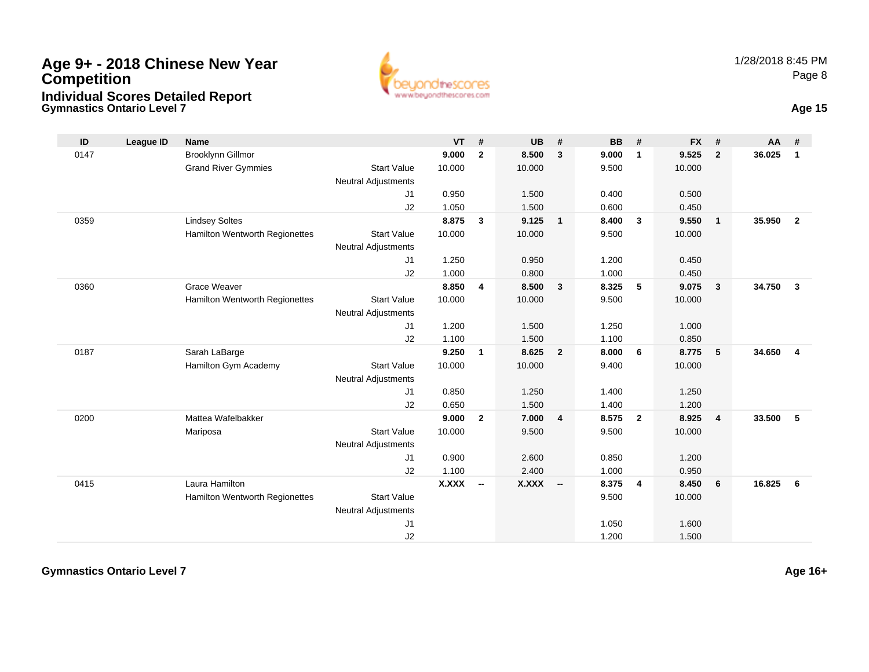**Gymnastics Ontario Level 7**



**Age 15**

| ID   | <b>League ID</b> | <b>Name</b>                    |                            | <b>VT</b> | #                        | <b>UB</b> | #              | <b>BB</b> | #                       | <b>FX</b> | #                       | AA     | #              |
|------|------------------|--------------------------------|----------------------------|-----------|--------------------------|-----------|----------------|-----------|-------------------------|-----------|-------------------------|--------|----------------|
| 0147 |                  | Brooklynn Gillmor              |                            | 9.000     | $\mathbf{2}$             | 8.500     | $\mathbf{3}$   | 9.000     | $\mathbf{1}$            | 9.525     | $\overline{2}$          | 36.025 | $\mathbf{1}$   |
|      |                  | <b>Grand River Gymmies</b>     | <b>Start Value</b>         | 10.000    |                          | 10.000    |                | 9.500     |                         | 10.000    |                         |        |                |
|      |                  |                                | <b>Neutral Adjustments</b> |           |                          |           |                |           |                         |           |                         |        |                |
|      |                  |                                | J1                         | 0.950     |                          | 1.500     |                | 0.400     |                         | 0.500     |                         |        |                |
|      |                  |                                | J2                         | 1.050     |                          | 1.500     |                | 0.600     |                         | 0.450     |                         |        |                |
| 0359 |                  | <b>Lindsey Soltes</b>          |                            | 8.875     | 3                        | 9.125     | $\overline{1}$ | 8.400     | $\mathbf{3}$            | 9.550     | $\mathbf{1}$            | 35.950 | $\overline{2}$ |
|      |                  | Hamilton Wentworth Regionettes | <b>Start Value</b>         | 10.000    |                          | 10.000    |                | 9.500     |                         | 10.000    |                         |        |                |
|      |                  |                                | <b>Neutral Adjustments</b> |           |                          |           |                |           |                         |           |                         |        |                |
|      |                  |                                | J1                         | 1.250     |                          | 0.950     |                | 1.200     |                         | 0.450     |                         |        |                |
|      |                  |                                | J2                         | 1.000     |                          | 0.800     |                | 1.000     |                         | 0.450     |                         |        |                |
| 0360 |                  | <b>Grace Weaver</b>            |                            | 8.850     | 4                        | 8.500     | $\mathbf{3}$   | 8.325     | 5                       | 9.075     | 3                       | 34.750 | $\mathbf{3}$   |
|      |                  | Hamilton Wentworth Regionettes | <b>Start Value</b>         | 10.000    |                          | 10.000    |                | 9.500     |                         | 10.000    |                         |        |                |
|      |                  |                                | <b>Neutral Adjustments</b> |           |                          |           |                |           |                         |           |                         |        |                |
|      |                  |                                | J1                         | 1.200     |                          | 1.500     |                | 1.250     |                         | 1.000     |                         |        |                |
|      |                  |                                | J2                         | 1.100     |                          | 1.500     |                | 1.100     |                         | 0.850     |                         |        |                |
| 0187 |                  | Sarah LaBarge                  |                            | 9.250     | $\mathbf{1}$             | 8.625     | $\overline{2}$ | 8.000     | 6                       | 8.775     | 5                       | 34.650 | $\overline{4}$ |
|      |                  | Hamilton Gym Academy           | <b>Start Value</b>         | 10.000    |                          | 10.000    |                | 9.400     |                         | 10.000    |                         |        |                |
|      |                  |                                | <b>Neutral Adjustments</b> |           |                          |           |                |           |                         |           |                         |        |                |
|      |                  |                                | J1                         | 0.850     |                          | 1.250     |                | 1.400     |                         | 1.250     |                         |        |                |
|      |                  |                                | J2                         | 0.650     |                          | 1.500     |                | 1.400     |                         | 1.200     |                         |        |                |
| 0200 |                  | Mattea Wafelbakker             |                            | 9.000     | $\mathbf{2}$             | 7.000     | 4              | 8.575     | $\overline{\mathbf{2}}$ | 8.925     | $\overline{\mathbf{4}}$ | 33.500 | 5              |
|      |                  | Mariposa                       | <b>Start Value</b>         | 10.000    |                          | 9.500     |                | 9.500     |                         | 10.000    |                         |        |                |
|      |                  |                                | <b>Neutral Adjustments</b> |           |                          |           |                |           |                         |           |                         |        |                |
|      |                  |                                | J1                         | 0.900     |                          | 2.600     |                | 0.850     |                         | 1.200     |                         |        |                |
|      |                  |                                | J2                         | 1.100     |                          | 2.400     |                | 1.000     |                         | 0.950     |                         |        |                |
| 0415 |                  | Laura Hamilton                 |                            | X.XXX     | $\overline{\phantom{a}}$ | X.XXX     | $\sim$         | 8.375     | $\overline{4}$          | 8.450     | 6                       | 16.825 | 6              |
|      |                  | Hamilton Wentworth Regionettes | <b>Start Value</b>         |           |                          |           |                | 9.500     |                         | 10.000    |                         |        |                |
|      |                  |                                | <b>Neutral Adjustments</b> |           |                          |           |                |           |                         |           |                         |        |                |
|      |                  |                                | J1                         |           |                          |           |                | 1.050     |                         | 1.600     |                         |        |                |
|      |                  |                                | J2                         |           |                          |           |                | 1.200     |                         | 1.500     |                         |        |                |

**Gymnastics Ontario Level 7**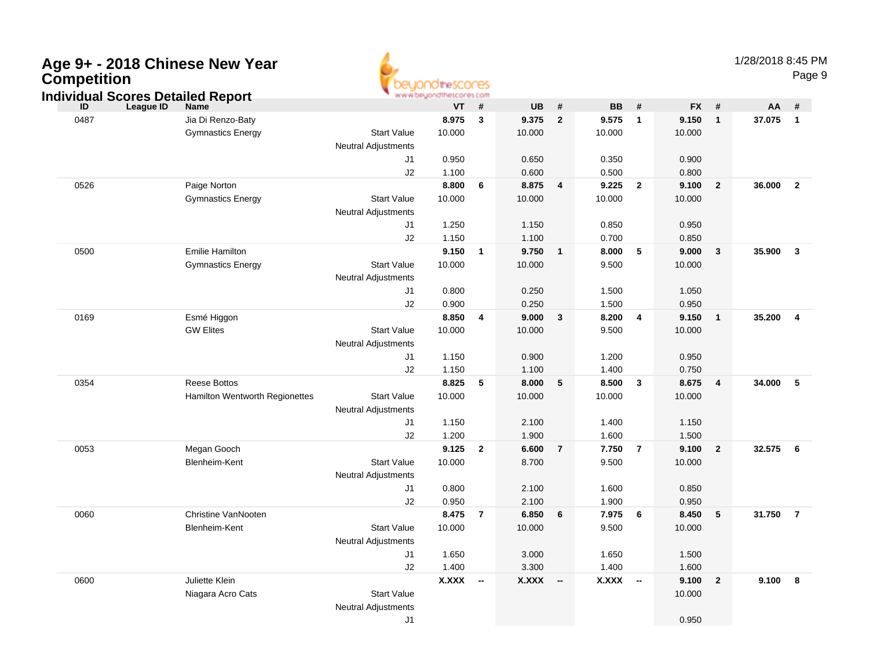| Age 9+ - 2018 Chinese New Year<br>Competition<br><b>Individual Scores Detailed Report</b> |                                     |                                                  | www.beyondthescores.com |                          |              |                          |              |                         |                 |                | 1/28/2018 8:45 PM | Page 9         |
|-------------------------------------------------------------------------------------------|-------------------------------------|--------------------------------------------------|-------------------------|--------------------------|--------------|--------------------------|--------------|-------------------------|-----------------|----------------|-------------------|----------------|
| <b>League ID</b><br>ID                                                                    | <b>Name</b>                         |                                                  | VT                      | #                        | <b>UB</b>    | $\pmb{\#}$               | <b>BB</b>    | #                       | <b>FX</b>       | #              | AA                | #              |
| 0487                                                                                      | Jia Di Renzo-Baty                   |                                                  | 8.975                   | $\mathbf{3}$             | 9.375        | $\overline{2}$           | 9.575        | $\overline{1}$          | 9.150           | $\mathbf{1}$   | 37.075            | $\overline{1}$ |
|                                                                                           | <b>Gymnastics Energy</b>            | <b>Start Value</b><br><b>Neutral Adjustments</b> | 10.000                  |                          | 10.000       |                          | 10.000       |                         | 10.000          |                |                   |                |
|                                                                                           |                                     | J1                                               | 0.950                   |                          | 0.650        |                          | 0.350        |                         | 0.900           |                |                   |                |
|                                                                                           |                                     | J2                                               | 1.100                   |                          | 0.600        |                          | 0.500        |                         | 0.800           |                |                   |                |
| 0526                                                                                      | Paige Norton                        |                                                  | 8.800                   | 6                        | 8.875        | 4                        | 9.225        | $\overline{2}$          | 9.100           | $\overline{2}$ | 36.000            | $\overline{2}$ |
|                                                                                           | <b>Gymnastics Energy</b>            | <b>Start Value</b><br><b>Neutral Adjustments</b> | 10.000                  |                          | 10.000       |                          | 10.000       |                         | 10.000          |                |                   |                |
|                                                                                           |                                     | J1                                               | 1.250                   |                          | 1.150        |                          | 0.850        |                         | 0.950           |                |                   |                |
|                                                                                           |                                     | J2                                               | 1.150                   |                          | 1.100        |                          | 0.700        |                         | 0.850           |                |                   |                |
| 0500                                                                                      | <b>Emilie Hamilton</b>              |                                                  | 9.150                   | $\overline{1}$           | 9.750        | $\mathbf{1}$             | 8.000        | 5                       | 9.000           | $\mathbf{3}$   | 35.900            | $\mathbf{3}$   |
|                                                                                           | <b>Gymnastics Energy</b>            | <b>Start Value</b><br><b>Neutral Adjustments</b> | 10.000                  |                          | 10.000       |                          | 9.500        |                         | 10.000          |                |                   |                |
|                                                                                           |                                     | J1                                               | 0.800                   |                          | 0.250        |                          | 1.500        |                         | 1.050           |                |                   |                |
|                                                                                           |                                     | J2                                               | 0.900                   |                          | 0.250        |                          | 1.500        |                         | 0.950           |                |                   |                |
| 0169                                                                                      | Esmé Higgon                         |                                                  | 8.850                   | $\overline{4}$           | 9.000        | $\mathbf{3}$             | 8.200        | $\overline{\mathbf{4}}$ | 9.150           | $\mathbf{1}$   | 35.200            | 4              |
|                                                                                           | <b>GW Elites</b>                    | <b>Start Value</b><br><b>Neutral Adjustments</b> | 10.000                  |                          | 10.000       |                          | 9.500        |                         | 10.000          |                |                   |                |
|                                                                                           |                                     | J1                                               | 1.150                   |                          | 0.900        |                          | 1.200        |                         | 0.950           |                |                   |                |
|                                                                                           |                                     | J2                                               | 1.150                   |                          | 1.100        |                          | 1.400        |                         | 0.750           |                |                   |                |
| 0354                                                                                      | <b>Reese Bottos</b>                 |                                                  | 8.825                   | 5                        | 8.000        | 5                        | 8.500        | $\mathbf{3}$            | 8.675           | 4              | 34.000            | - 5            |
|                                                                                           | Hamilton Wentworth Regionettes      | <b>Start Value</b><br><b>Neutral Adjustments</b> | 10.000                  |                          | 10.000       |                          | 10.000       |                         | 10.000          |                |                   |                |
|                                                                                           |                                     | J1                                               | 1.150                   |                          | 2.100        |                          | 1.400        |                         | 1.150           |                |                   |                |
|                                                                                           |                                     | J2                                               | 1.200                   |                          | 1.900        |                          | 1.600        |                         | 1.500           |                |                   |                |
| 0053                                                                                      | Megan Gooch                         |                                                  | 9.125                   | $\overline{2}$           | 6.600        | $\overline{7}$           | 7.750        | $\overline{7}$          | 9.100           | $\overline{2}$ | 32.575            | 6              |
|                                                                                           | Blenheim-Kent                       | <b>Start Value</b><br><b>Neutral Adjustments</b> | 10.000                  |                          | 8.700        |                          | 9.500        |                         | 10.000          |                |                   |                |
|                                                                                           |                                     | J1                                               | 0.800                   |                          | 2.100        |                          | 1.600        |                         | 0.850           |                |                   |                |
|                                                                                           |                                     | J2                                               | 0.950                   |                          | 2.100        |                          | 1.900        |                         | 0.950           |                |                   |                |
| 0060                                                                                      | Christine VanNooten                 |                                                  | 8.475                   | $\overline{7}$           | 6.850        | 6                        | 7.975        | 6                       | 8.450           | 5              | 31.750            | $\overline{7}$ |
|                                                                                           | Blenheim-Kent                       | <b>Start Value</b><br><b>Neutral Adjustments</b> | 10.000                  |                          | 10.000       |                          | 9.500        |                         | 10.000          |                |                   |                |
|                                                                                           |                                     | J1                                               | 1.650                   |                          | 3.000        |                          | 1.650        |                         | 1.500           |                |                   |                |
|                                                                                           |                                     | J2                                               | 1.400                   |                          | 3.300        |                          | 1.400        |                         | 1.600           |                |                   |                |
| 0600                                                                                      | Juliette Klein<br>Niagara Acro Cats | <b>Start Value</b>                               | <b>X.XXX</b>            | $\overline{\phantom{a}}$ | <b>X.XXX</b> | $\overline{\phantom{a}}$ | <b>X.XXX</b> | --                      | 9.100<br>10.000 | $\overline{2}$ | 9.100             | 8              |

ø

Neutral Adjustments

 J1 $1$  0.950